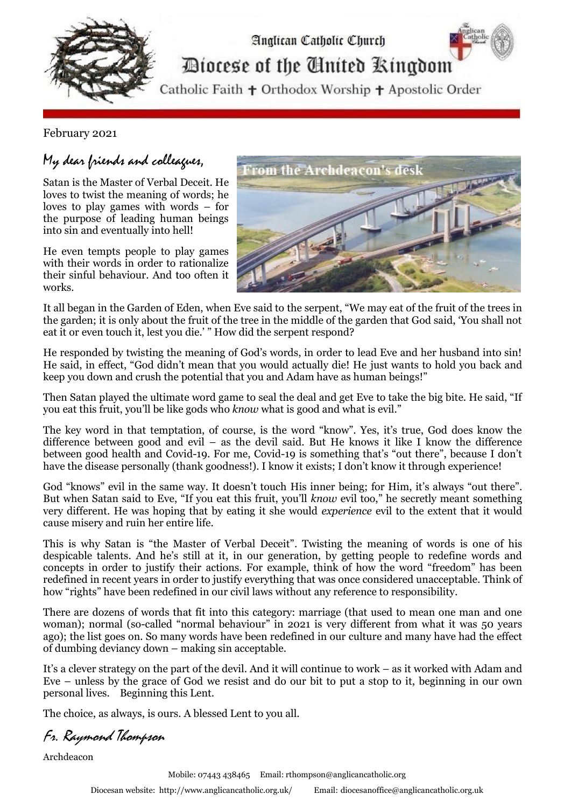

February 2021

## My dear friends and colleagues,

Satan is the Master of Verbal Deceit. He loves to twist the meaning of words; he loves to play games with words – for the purpose of leading human beings into sin and eventually into hell!

He even tempts people to play games with their words in order to rationalize their sinful behaviour. And too often it works.



It all began in the Garden of Eden, when Eve said to the serpent, "We may eat of the fruit of the trees in the garden; it is only about the fruit of the tree in the middle of the garden that God said, 'You shall not eat it or even touch it, lest you die.' " How did the serpent respond?

He responded by twisting the meaning of God's words, in order to lead Eve and her husband into sin! He said, in effect, "God didn't mean that you would actually die! He just wants to hold you back and keep you down and crush the potential that you and Adam have as human beings!"

Then Satan played the ultimate word game to seal the deal and get Eve to take the big bite. He said, "If you eat this fruit, you'll be like gods who *know* what is good and what is evil."

The key word in that temptation, of course, is the word "know". Yes, it's true, God does know the difference between good and evil – as the devil said. But He knows it like I know the difference between good health and Covid-19. For me, Covid-19 is something that's "out there", because I don't have the disease personally (thank goodness!). I know it exists; I don't know it through experience!

God "knows" evil in the same way. It doesn't touch His inner being; for Him, it's always "out there". But when Satan said to Eve, "If you eat this fruit, you'll *know* evil too," he secretly meant something very different. He was hoping that by eating it she would *experience* evil to the extent that it would cause misery and ruin her entire life.

This is why Satan is "the Master of Verbal Deceit". Twisting the meaning of words is one of his despicable talents. And he's still at it, in our generation, by getting people to redefine words and concepts in order to justify their actions. For example, think of how the word "freedom" has been redefined in recent years in order to justify everything that was once considered unacceptable. Think of how "rights" have been redefined in our civil laws without any reference to responsibility.

There are dozens of words that fit into this category: marriage (that used to mean one man and one woman); normal (so-called "normal behaviour" in 2021 is very different from what it was 50 years ago); the list goes on. So many words have been redefined in our culture and many have had the effect of dumbing deviancy down – making sin acceptable.

It's a clever strategy on the part of the devil. And it will continue to work – as it worked with Adam and Eve – unless by the grace of God we resist and do our bit to put a stop to it, beginning in our own personal lives. Beginning this Lent.

The choice, as always, is ours. A blessed Lent to you all.

Fr. Raymond Thompson

Archdeacon